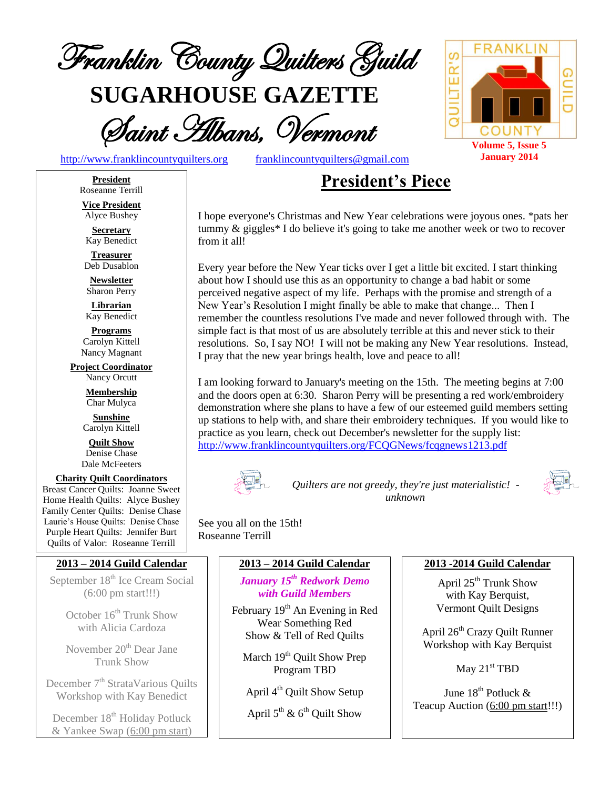

**SUGARHOUSE GAZETTE**

Saint Albans, Vermont



[http://www.franklincountyquilters.org](http://www.franklincountyquilters.org/) [franklincountyquilters@gmail.com](mailto:franklincountyquilters@gmail.com)

# **President's Piece**

I hope everyone's Christmas and New Year celebrations were joyous ones. \*pats her tummy & giggles\* I do believe it's going to take me another week or two to recover from it all!

Every year before the New Year ticks over I get a little bit excited. I start thinking about how I should use this as an opportunity to change a bad habit or some perceived negative aspect of my life. Perhaps with the promise and strength of a New Year's Resolution I might finally be able to make that change... Then I remember the countless resolutions I've made and never followed through with. The simple fact is that most of us are absolutely terrible at this and never stick to their resolutions. So, I say NO! I will not be making any New Year resolutions. Instead, I pray that the new year brings health, love and peace to all!

I am looking forward to January's meeting on the 15th. The meeting begins at 7:00 and the doors open at 6:30. Sharon Perry will be presenting a red work/embroidery demonstration where she plans to have a few of our esteemed guild members setting up stations to help with, and share their embroidery techniques. If you would like to practice as you learn, check out December's newsletter for the supply list: <http://www.franklincountyquilters.org/FCQGNews/fcqgnews1213.pdf>



*Quilters are not greedy, they're just materialistic! unknown*



See you all on the 15th! Roseanne Terrill

#### **2013 – 2014 Guild Calendar**

*January 15 th Redwork Demo with Guild Members*

February 19<sup>th</sup> An Evening in Red Wear Something Red Show & Tell of Red Quilts

March 19<sup>th</sup> Quilt Show Prep Program TBD

April 4<sup>th</sup> Quilt Show Setup

April  $5^{\text{th}}$  &  $6^{\text{th}}$  Quilt Show

#### **2013 -2014 Guild Calendar**

April 25<sup>th</sup> Trunk Show with Kay Berquist, Vermont Quilt Designs

April 26<sup>th</sup> Crazy Quilt Runner Workshop with Kay Berquist

May 21<sup>st</sup> TBD

June 18<sup>th</sup> Potluck & Teacup Auction (6:00 pm start!!!)

**President** Roseanne Terrill **Vice President**

Alyce Bushey

**Secretary** Kay Benedict

**Treasurer** Deb Dusablon

**Newsletter** Sharon Perry

**Librarian** Kay Benedict

**Programs** Carolyn Kittell Nancy Magnant

**Project Coordinator** Nancy Orcutt

> **Membership** Char Mulyca

**Sunshine** Carolyn Kittell

**Quilt Show** Denise Chase Dale McFeeters

#### **Charity Quilt Coordinators** Breast Cancer Quilts: Joanne Sweet Home Health Quilts: Alyce Bushey

Family Center Quilts: Denise Chase Laurie's House Quilts: Denise Chase Purple Heart Quilts: Jennifer Burt Quilts of Valor: Roseanne Terrill

### **2013 – 2014 Guild Calendar**

September 18<sup>th</sup> Ice Cream Social (6:00 pm start!!!)

> October  $16<sup>th</sup>$  Trunk Show with Alicia Cardoza

> November 20<sup>th</sup> Dear Jane Trunk Show

December 7<sup>th</sup> StrataVarious Quilts Workshop with Kay Benedict

December 18<sup>th</sup> Holiday Potluck & Yankee Swap (6:00 pm start)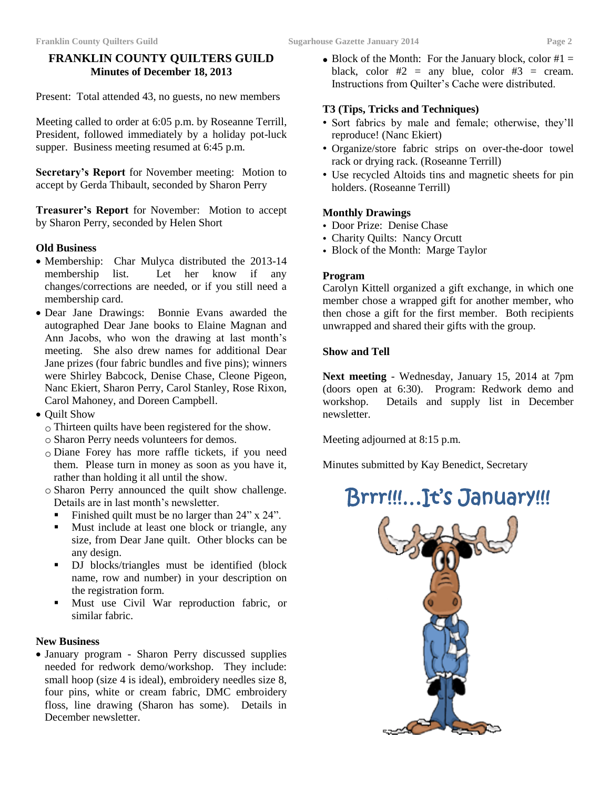#### **FRANKLIN COUNTY QUILTERS GUILD Minutes of December 18, 2013**

Present: Total attended 43, no guests, no new members

Meeting called to order at 6:05 p.m. by Roseanne Terrill, President, followed immediately by a holiday pot-luck supper. Business meeting resumed at 6:45 p.m.

**Secretary's Report** for November meeting: Motion to accept by Gerda Thibault, seconded by Sharon Perry

**Treasurer's Report** for November: Motion to accept by Sharon Perry, seconded by Helen Short

#### **Old Business**

- Membership: Char Mulyca distributed the 2013-14 membership list. Let her know if any changes/corrections are needed, or if you still need a membership card.
- Dear Jane Drawings: Bonnie Evans awarded the autographed Dear Jane books to Elaine Magnan and Ann Jacobs, who won the drawing at last month's meeting. She also drew names for additional Dear Jane prizes (four fabric bundles and five pins); winners were Shirley Babcock, Denise Chase, Cleone Pigeon, Nanc Ekiert, Sharon Perry, Carol Stanley, Rose Rixon, Carol Mahoney, and Doreen Campbell.
- Quilt Show
	- o Thirteen quilts have been registered for the show.
	- o Sharon Perry needs volunteers for demos.
	- o Diane Forey has more raffle tickets, if you need them. Please turn in money as soon as you have it, rather than holding it all until the show.
	- o Sharon Perry announced the quilt show challenge. Details are in last month's newsletter.
		- Finished quilt must be no larger than 24" x 24".
		- Must include at least one block or triangle, any size, from Dear Jane quilt. Other blocks can be any design.
		- DJ blocks/triangles must be identified (block name, row and number) in your description on the registration form.
		- Must use Civil War reproduction fabric, or similar fabric.

#### **New Business**

 January program - Sharon Perry discussed supplies needed for redwork demo/workshop. They include: small hoop (size 4 is ideal), embroidery needles size 8, four pins, white or cream fabric, DMC embroidery floss, line drawing (Sharon has some). Details in December newsletter.

 $\bullet$  Block of the Month: For the January block, color #1 = black, color  $#2 = any blue$ , color  $#3 = cream$ . Instructions from Quilter's Cache were distributed.

#### **T3 (Tips, Tricks and Techniques)**

- Sort fabrics by male and female; otherwise, they'll reproduce! (Nanc Ekiert)
- Organize/store fabric strips on over-the-door towel rack or drying rack. (Roseanne Terrill)
- Use recycled Altoids tins and magnetic sheets for pin holders. (Roseanne Terrill)

#### **Monthly Drawings**

- Door Prize: Denise Chase
- Charity Quilts: Nancy Orcutt
- Block of the Month: Marge Taylor

#### **Program**

Carolyn Kittell organized a gift exchange, in which one member chose a wrapped gift for another member, who then chose a gift for the first member. Both recipients unwrapped and shared their gifts with the group.

#### **Show and Tell**

**Next meeting** - Wednesday, January 15, 2014 at 7pm (doors open at 6:30). Program: Redwork demo and workshop. Details and supply list in December newsletter.

Meeting adjourned at 8:15 p.m.

Minutes submitted by Kay Benedict, Secretary

# Brrr!!!…It's January!!!

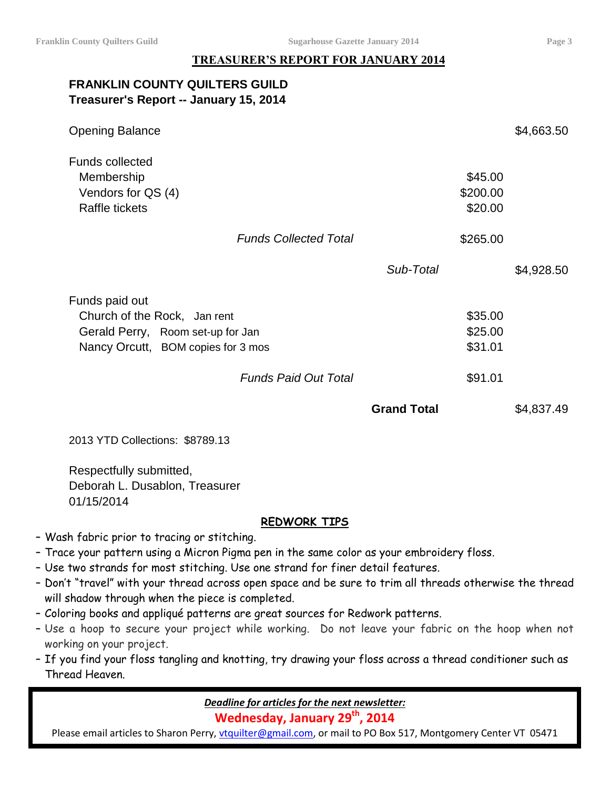#### **TREASURER'S REPORT FOR JANUARY 2014**

# **FRANKLIN COUNTY QUILTERS GUILD Treasurer's Report -- January 15, 2014**

| <b>Opening Balance</b>                                                                                                    |                              |                    |                                | \$4,663.50 |
|---------------------------------------------------------------------------------------------------------------------------|------------------------------|--------------------|--------------------------------|------------|
| <b>Funds collected</b><br>Membership<br>Vendors for QS (4)<br>Raffle tickets                                              |                              |                    | \$45.00<br>\$200.00<br>\$20.00 |            |
|                                                                                                                           | <b>Funds Collected Total</b> |                    | \$265.00                       |            |
|                                                                                                                           |                              | Sub-Total          |                                | \$4,928.50 |
| Funds paid out<br>Church of the Rock, Jan rent<br>Gerald Perry, Room set-up for Jan<br>Nancy Orcutt, BOM copies for 3 mos |                              |                    | \$35.00<br>\$25.00<br>\$31.01  |            |
|                                                                                                                           | <b>Funds Paid Out Total</b>  |                    | \$91.01                        |            |
|                                                                                                                           |                              | <b>Grand Total</b> |                                | \$4,837.49 |

2013 YTD Collections: \$8789.13

Respectfully submitted, Deborah L. Dusablon, Treasurer 01/15/2014

#### **REDWORK TIPS**

- Wash fabric prior to tracing or stitching.
- Trace your pattern using a Micron Pigma pen in the same color as your embroidery floss.
- Use two strands for most stitching. Use one strand for finer detail features.
- Don't "travel" with your thread across open space and be sure to trim all threads otherwise the thread will shadow through when the piece is completed.
- Coloring books and appliqué patterns are great sources for Redwork patterns.
- Use a hoop to secure your project while working. Do not leave your fabric on the hoop when not working on your project.
- If you find your floss tangling and knotting, try drawing your floss across a thread conditioner such as Thread Heaven.

*Deadline for articles for the next newsletter:*

**Wednesday, January 29 th , 2014**

Please email articles to Sharon Perry, [vtquilter@gmail.com,](mailto:vtquilter@gmail.com) or mail to PO Box 517, Montgomery Center VT 05471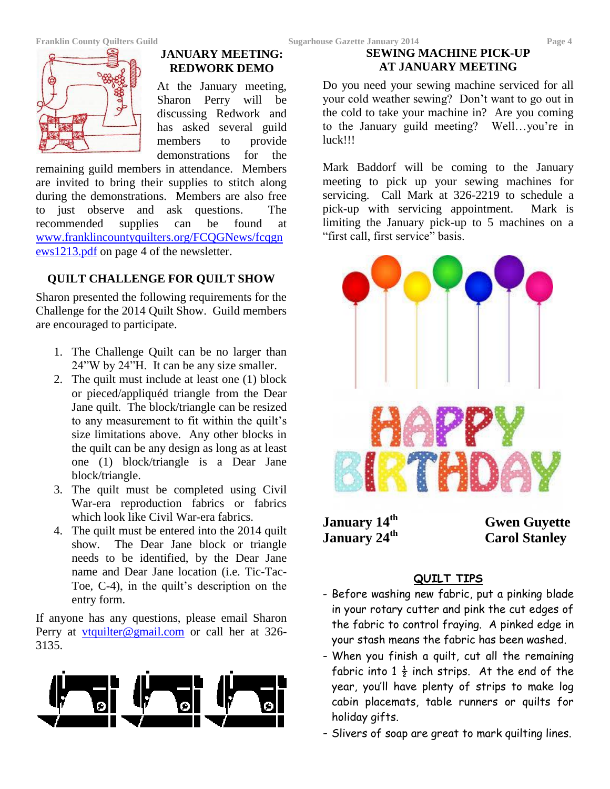

#### **JANUARY MEETING: REDWORK DEMO**

At the January meeting, Sharon Perry will be discussing Redwork and has asked several guild members to provide demonstrations for the

remaining guild members in attendance. Members are invited to bring their supplies to stitch along during the demonstrations. Members are also free to just observe and ask questions. The recommended supplies can be found at [www.franklincountyquilters.org/FCQGNews/fcqgn](http://www.franklincountyquilters.org/FCQGNews/fcqgnews1213.pdf) [ews1213.pdf](http://www.franklincountyquilters.org/FCQGNews/fcqgnews1213.pdf) on page 4 of the newsletter.

# **QUILT CHALLENGE FOR QUILT SHOW**

Sharon presented the following requirements for the Challenge for the 2014 Quilt Show. Guild members are encouraged to participate.

- 1. The Challenge Quilt can be no larger than 24"W by 24"H. It can be any size smaller.
- 2. The quilt must include at least one (1) block or pieced/appliquéd triangle from the Dear Jane quilt. The block/triangle can be resized to any measurement to fit within the quilt's size limitations above. Any other blocks in the quilt can be any design as long as at least one (1) block/triangle is a Dear Jane block/triangle.
- 3. The quilt must be completed using Civil War-era reproduction fabrics or fabrics which look like Civil War-era fabrics.
- 4. The quilt must be entered into the 2014 quilt show. The Dear Jane block or triangle needs to be identified, by the Dear Jane name and Dear Jane location (i.e. Tic-Tac-Toe, C-4), in the quilt's description on the entry form.

If anyone has any questions, please email Sharon Perry at **<u>[vtquilter@gmail.com](mailto:vtquilter@gmail.com)</u>** or call her at 326-3135.



## **SEWING MACHINE PICK-UP AT JANUARY MEETING**

Do you need your sewing machine serviced for all your cold weather sewing? Don't want to go out in the cold to take your machine in? Are you coming to the January guild meeting? Well…you're in luck!!!

Mark Baddorf will be coming to the January meeting to pick up your sewing machines for servicing. Call Mark at 326-2219 to schedule a pick-up with servicing appointment. Mark is limiting the January pick-up to 5 machines on a "first call, first service" basis.



**January 14th January 24th**  **Gwen Guyette Carol Stanley**

# **QUILT TIPS**

- Before washing new fabric, put a pinking blade in your rotary cutter and pink the cut edges of the fabric to control fraying. A pinked edge in your stash means the fabric has been washed.
- When you finish a quilt, cut all the remaining fabric into  $1\frac{1}{2}$  inch strips. At the end of the year, you'll have plenty of strips to make log cabin placemats, table runners or quilts for holiday gifts.
- Slivers of soap are great to mark quilting lines.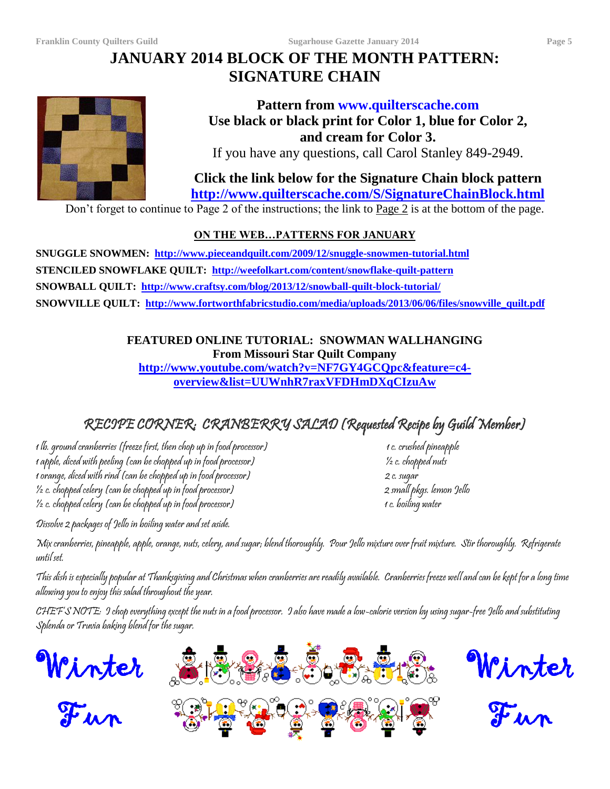# **JANUARY 2014 BLOCK OF THE MONTH PATTERN: SIGNATURE CHAIN**



# **Pattern from www.quilterscache.com Use black or black print for Color 1, blue for Color 2, and cream for Color 3.**

If you have any questions, call Carol Stanley 849-2949.

**Click the link below for the Signature Chain block pattern <http://www.quilterscache.com/S/SignatureChainBlock.html>**

Don't forget to continue to Page 2 of the instructions; the link to Page 2 is at the bottom of the page.

# **ON THE WEB…PATTERNS FOR JANUARY**

**SNUGGLE SNOWMEN: <http://www.pieceandquilt.com/2009/12/snuggle-snowmen-tutorial.html> STENCILED SNOWFLAKE QUILT: <http://weefolkart.com/content/snowflake-quilt-pattern> SNOWBALL QUILT: <http://www.craftsy.com/blog/2013/12/snowball-quilt-block-tutorial/> SNOWVILLE QUILT: [http://www.fortworthfabricstudio.com/media/uploads/2013/06/06/files/snowville\\_quilt.pdf](http://www.fortworthfabricstudio.com/media/uploads/2013/06/06/files/snowville_quilt.pdf)**

> **FEATURED ONLINE TUTORIAL: SNOWMAN WALLHANGING From Missouri Star Quilt Company**

**[http://www.youtube.com/watch?v=NF7GY4GCQpc&feature=c4](http://www.youtube.com/watch?v=NF7GY4GCQpc&feature=c4-overview&list=UUWnhR7raxVFDHmDXqCIzuAw) [overview&list=UUWnhR7raxVFDHmDXqCIzuAw](http://www.youtube.com/watch?v=NF7GY4GCQpc&feature=c4-overview&list=UUWnhR7raxVFDHmDXqCIzuAw)**

# RECIPE CORNER: CRANBERRY SALAD (Requested Recipe by Guild Member)

1 lb. ground cranberries (freeze first, then chop up in food processor) 1 c. crushed pineapple 1 apple, diced with peeling (can be chopped up in food processor) ½ c. chopped nuts 1 orange, diced with rind (can be chopped up in food processor) 2 c. sugar ½ c. chopped celery (can be chopped up in food processor) 2 small pkgs. lemon Jello  $\frac{1}{2}$  c. chopped celery (can be chopped up in food processor)  $\frac{1}{2}$  c. boiling water

Dissolve 2 packages of Jello in boiling water and set aside.

Mix cranberries, pineapple, apple, orange, nuts, celery, and sugar; blend thoroughly. Pour Jello mixture over fruit mixture. Stir thoroughly. Refrigerate until set.

This dish is especially popular at Thanksgiving and Christmas when cranberries are readily available. Cranberries freeze well and can be kept for a long time allowing you to enjoy this salad throughout the year.

CHEF'S NOTE: I chop everything except the nuts in a food processor. I also have made a low-calorie version by using sugar-free Jello and substituting Splenda or Truvia baking blend for the sugar.